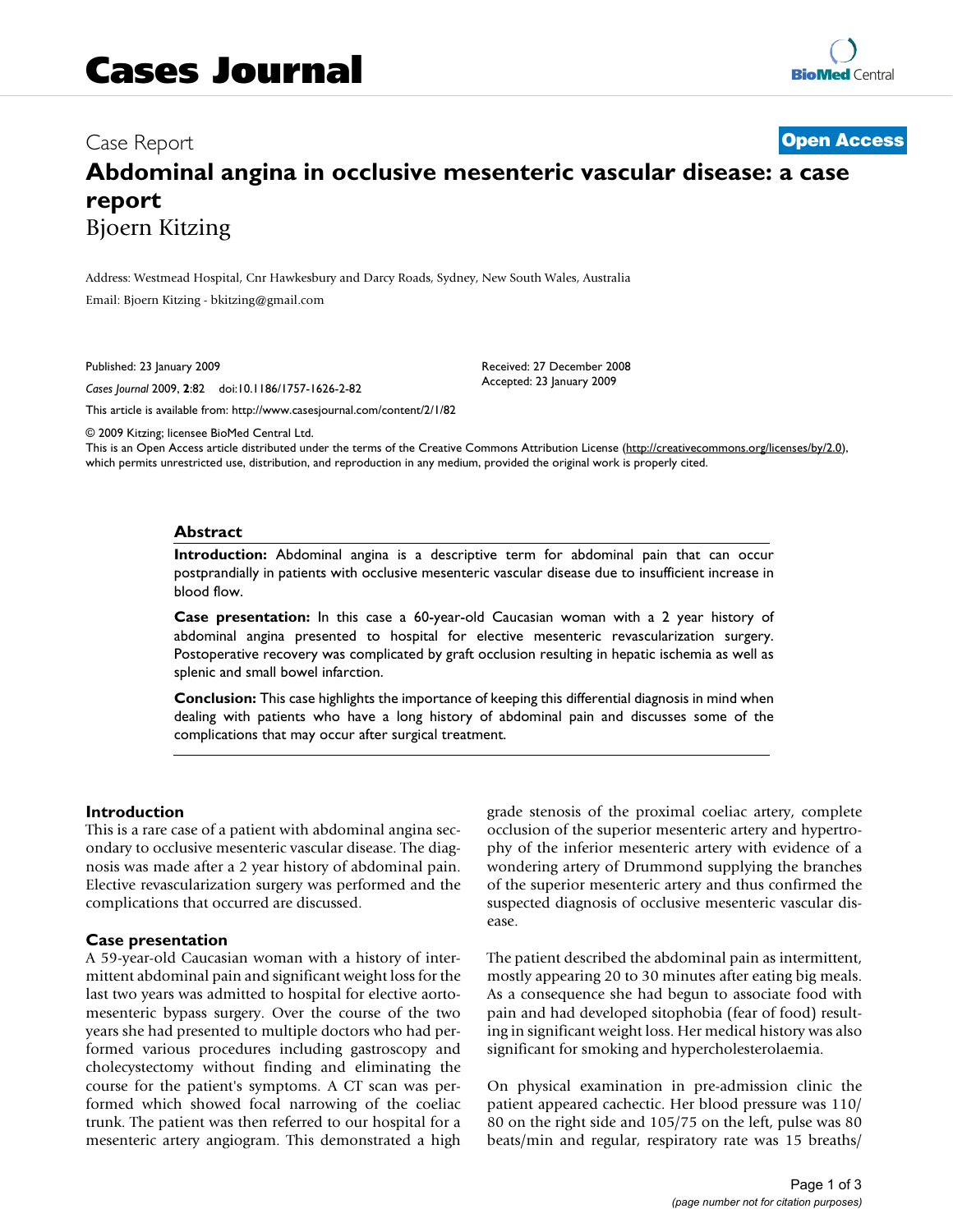Case Report **[Open Access](http://www.biomedcentral.com/info/about/charter/)**

# **Abdominal angina in occlusive mesenteric vascular disease: a case report** Bjoern Kitzing

Address: Westmead Hospital, Cnr Hawkesbury and Darcy Roads, Sydney, New South Wales, Australia Email: Bjoern Kitzing - bkitzing@gmail.com

Published: 23 January 2009

*Cases Journal* 2009, **2**:82 doi:10.1186/1757-1626-2-82

[This article is available from: http://www.casesjournal.com/content/2/1/82](http://www.casesjournal.com/content/2/1/82)

© 2009 Kitzing; licensee BioMed Central Ltd.

This is an Open Access article distributed under the terms of the Creative Commons Attribution License [\(http://creativecommons.org/licenses/by/2.0\)](http://creativecommons.org/licenses/by/2.0), which permits unrestricted use, distribution, and reproduction in any medium, provided the original work is properly cited.

Received: 27 December 2008 Accepted: 23 January 2009

# **Abstract**

**Introduction:** Abdominal angina is a descriptive term for abdominal pain that can occur postprandially in patients with occlusive mesenteric vascular disease due to insufficient increase in blood flow.

**Case presentation:** In this case a 60-year-old Caucasian woman with a 2 year history of abdominal angina presented to hospital for elective mesenteric revascularization surgery. Postoperative recovery was complicated by graft occlusion resulting in hepatic ischemia as well as splenic and small bowel infarction.

**Conclusion:** This case highlights the importance of keeping this differential diagnosis in mind when dealing with patients who have a long history of abdominal pain and discusses some of the complications that may occur after surgical treatment.

# **Introduction**

This is a rare case of a patient with abdominal angina secondary to occlusive mesenteric vascular disease. The diagnosis was made after a 2 year history of abdominal pain. Elective revascularization surgery was performed and the complications that occurred are discussed.

# **Case presentation**

A 59-year-old Caucasian woman with a history of intermittent abdominal pain and significant weight loss for the last two years was admitted to hospital for elective aortomesenteric bypass surgery. Over the course of the two years she had presented to multiple doctors who had performed various procedures including gastroscopy and cholecystectomy without finding and eliminating the course for the patient's symptoms. A CT scan was performed which showed focal narrowing of the coeliac trunk. The patient was then referred to our hospital for a mesenteric artery angiogram. This demonstrated a high grade stenosis of the proximal coeliac artery, complete occlusion of the superior mesenteric artery and hypertrophy of the inferior mesenteric artery with evidence of a wondering artery of Drummond supplying the branches of the superior mesenteric artery and thus confirmed the suspected diagnosis of occlusive mesenteric vascular disease.

The patient described the abdominal pain as intermittent, mostly appearing 20 to 30 minutes after eating big meals. As a consequence she had begun to associate food with pain and had developed sitophobia (fear of food) resulting in significant weight loss. Her medical history was also significant for smoking and hypercholesterolaemia.

On physical examination in pre-admission clinic the patient appeared cachectic. Her blood pressure was 110/ 80 on the right side and 105/75 on the left, pulse was 80 beats/min and regular, respiratory rate was 15 breaths/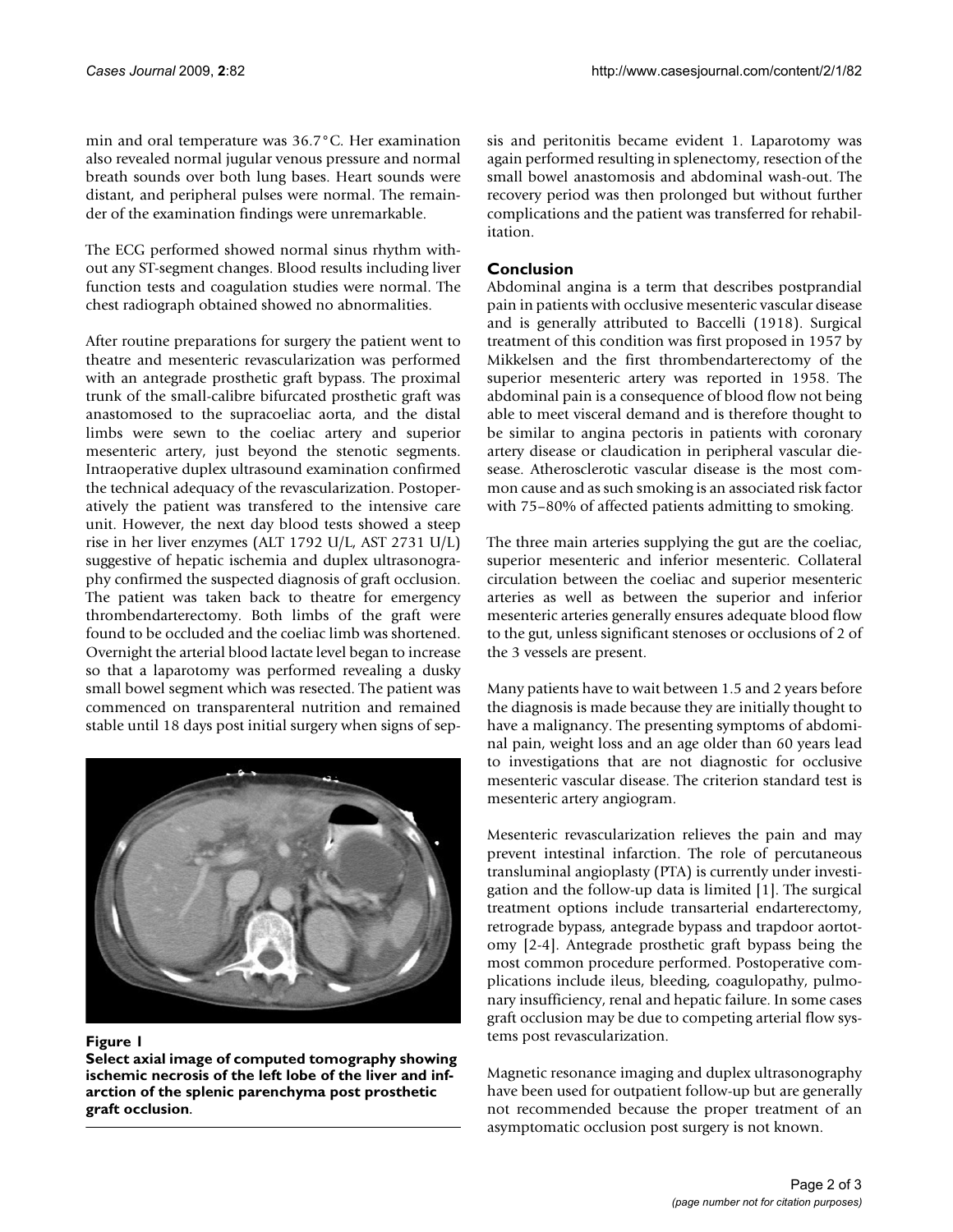min and oral temperature was 36.7°C. Her examination also revealed normal jugular venous pressure and normal breath sounds over both lung bases. Heart sounds were distant, and peripheral pulses were normal. The remainder of the examination findings were unremarkable.

The ECG performed showed normal sinus rhythm without any ST-segment changes. Blood results including liver function tests and coagulation studies were normal. The chest radiograph obtained showed no abnormalities.

After routine preparations for surgery the patient went to theatre and mesenteric revascularization was performed with an antegrade prosthetic graft bypass. The proximal trunk of the small-calibre bifurcated prosthetic graft was anastomosed to the supracoeliac aorta, and the distal limbs were sewn to the coeliac artery and superior mesenteric artery, just beyond the stenotic segments. Intraoperative duplex ultrasound examination confirmed the technical adequacy of the revascularization. Postoperatively the patient was transfered to the intensive care unit. However, the next day blood tests showed a steep rise in her liver enzymes (ALT 1792 U/L, AST 2731 U/L) suggestive of hepatic ischemia and duplex ultrasonography confirmed the suspected diagnosis of graft occlusion. The patient was taken back to theatre for emergency thrombendarterectomy. Both limbs of the graft were found to be occluded and the coeliac limb was shortened. Overnight the arterial blood lactate level began to increase so that a laparotomy was performed revealing a dusky small bowel segment which was resected. The patient was commenced on transparenteral nutrition and remained stable until 18 days post initial surgery when signs of sep-



# Figure 1

**Select axial image of computed tomography showing ischemic necrosis of the left lobe of the liver and infarction of the splenic parenchyma post prosthetic graft occlusion**.

sis and peritonitis became evident 1. Laparotomy was again performed resulting in splenectomy, resection of the small bowel anastomosis and abdominal wash-out. The recovery period was then prolonged but without further complications and the patient was transferred for rehabilitation.

# **Conclusion**

Abdominal angina is a term that describes postprandial pain in patients with occlusive mesenteric vascular disease and is generally attributed to Baccelli (1918). Surgical treatment of this condition was first proposed in 1957 by Mikkelsen and the first thrombendarterectomy of the superior mesenteric artery was reported in 1958. The abdominal pain is a consequence of blood flow not being able to meet visceral demand and is therefore thought to be similar to angina pectoris in patients with coronary artery disease or claudication in peripheral vascular diesease. Atherosclerotic vascular disease is the most common cause and as such smoking is an associated risk factor with 75–80% of affected patients admitting to smoking.

The three main arteries supplying the gut are the coeliac, superior mesenteric and inferior mesenteric. Collateral circulation between the coeliac and superior mesenteric arteries as well as between the superior and inferior mesenteric arteries generally ensures adequate blood flow to the gut, unless significant stenoses or occlusions of 2 of the 3 vessels are present.

Many patients have to wait between 1.5 and 2 years before the diagnosis is made because they are initially thought to have a malignancy. The presenting symptoms of abdominal pain, weight loss and an age older than 60 years lead to investigations that are not diagnostic for occlusive mesenteric vascular disease. The criterion standard test is mesenteric artery angiogram.

Mesenteric revascularization relieves the pain and may prevent intestinal infarction. The role of percutaneous transluminal angioplasty (PTA) is currently under investigation and the follow-up data is limited [1]. The surgical treatment options include transarterial endarterectomy, retrograde bypass, antegrade bypass and trapdoor aortotomy [2-4]. Antegrade prosthetic graft bypass being the most common procedure performed. Postoperative complications include ileus, bleeding, coagulopathy, pulmonary insufficiency, renal and hepatic failure. In some cases graft occlusion may be due to competing arterial flow systems post revascularization.

Magnetic resonance imaging and duplex ultrasonography have been used for outpatient follow-up but are generally not recommended because the proper treatment of an asymptomatic occlusion post surgery is not known.